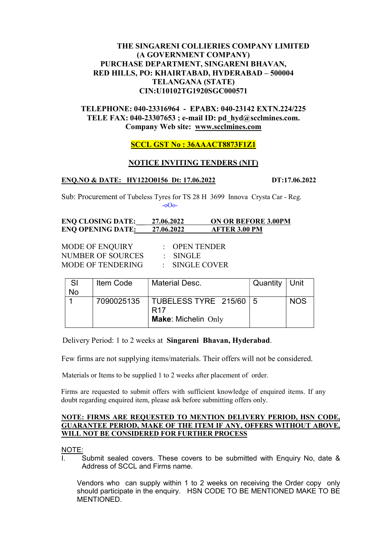# THE SINGARENI COLLIERIES COMPANY LIMITED (A GOVERNMENT COMPANY) PURCHASE DEPARTMENT, SINGARENI BHAVAN, RED HILLS, PO: KHAIRTABAD, HYDERABAD – 500004 TELANGANA (STATE) CIN:U10102TG1920SGC000571

# TELEPHONE: 040-23316964 - EPABX: 040-23142 EXTN.224/225 TELE FAX: 040-23307653 ; e-mail ID: pd\_hyd@scclmines.com. Company Web site: www.scclmines.com

# SCCL GST No : 36AAACT8873F1Z1

# NOTICE INVITING TENDERS (NIT)

### ENO.NO & DATE: HY122O0156 Dt: 17.06.2022 DT:17.06.2022

Sub: Procurement of Tubeless Tyres for TS 28 H 3699 Innova Crysta Car - Reg. -oOo-

### ENQ CLOSING DATE: \_\_ 27.06.2022 ON OR BEFORE 3.00PM ENQ OPENING DATE: 27.06.2022 AFTER 3.00 PM

MODE OF ENQUIRY : OPEN TENDER NUMBER OF SOURCES : SINGLE MODE OF TENDERING : SINGLE COVER

| -SI       | Item Code  | <b>Material Desc.</b>                                                       | Quantity $ $ Unit |            |
|-----------|------------|-----------------------------------------------------------------------------|-------------------|------------|
| <b>No</b> |            |                                                                             |                   |            |
|           | 7090025135 | TUBELESS TYRE $215/60$   5<br>R <sub>17</sub><br><b>Make: Michelin Only</b> |                   | <b>NOS</b> |

Delivery Period: 1 to 2 weeks at Singareni Bhavan, Hyderabad.

Few firms are not supplying items/materials. Their offers will not be considered.

Materials or Items to be supplied 1 to 2 weeks after placement of order.

 Firms are requested to submit offers with sufficient knowledge of enquired items. If any doubt regarding enquired item, please ask before submitting offers only.

#### NOTE: FIRMS ARE REQUESTED TO MENTION DELIVERY PERIOD, HSN CODE, GUARANTEE PERIOD, MAKE OF THE ITEM IF ANY, OFFERS WITHOUT ABOVE, WILL NOT BE CONSIDERED FOR FURTHER PROCESS

NOTE:

Submit sealed covers. These covers to be submitted with Enquiry No, date & Address of SCCL and Firms name.

Vendors who can supply within 1 to 2 weeks on receiving the Order copy only should participate in the enquiry. HSN CODE TO BE MENTIONED MAKE TO BE MENTIONED.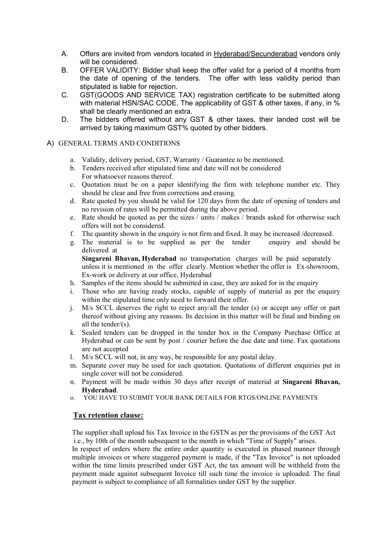- A. Offers are invited from vendors located in Hyderabad/Secunderabad vendors only will be considered.
- B. OFFER VALIDITY: Bidder shall keep the offer valid for a period of 4 months from the date of opening of the tenders. The offer with less validity period than stipulated is liable for rejection.
- C. GST(GOODS AND SERVICE TAX) registration certificate to be submitted along with material HSN/SAC CODE. The applicability of GST & other taxes, if any, in % shall be clearly mentioned an extra.
- D. The bidders offered without any GST & other taxes, their landed cost will be arrived by taking maximum GST% quoted by other bidders.
- A) GENERAL TERMS AND CONDITIONS
	- a. Validity, delivery period, GST, Warranty / Guarantee to be mentioned.
	- b. Tenders received after stipulated time and date will not be considered For whatsoever reasons thereof.
	- c. Quotation must be on a paper identifying the firm with telephone number etc. They should be clear and free from corrections and erasing.
	- d. Rate quoted by you should be valid for 120 days from the date of opening of tenders and no revision of rates will be permitted during the above period.
	- e. Rate should be quoted as per the sizes / units / makes / brands asked for otherwise such offers will not be considered.
	- f. The quantity shown in the enquiry is not firm and fixed. It may be increased /decreased.
	- g. The material is to be supplied as per the tender enquiry and should be delivered at Singareni Bhavan, Hyderabad no transportation charges will be paid separately

unless it is mentioned in the offer clearly. Mention whether the offer is Ex-showroom, Ex-work or delivery at our office, Hyderabad

- h. Samples of the items should be submitted in case, they are asked for in the enquiry
- i. Those who are having ready stocks, capable of supply of material as per the enquiry within the stipulated time only need to forward their offer.
- j. M/s SCCL deserves the right to reject any/all the tender (s) or accept any offer or part thereof without giving any reasons. Its decision in this matter will be final and binding on all the tender/(s).
- k. Sealed tenders can be dropped in the tender box in the Company Purchase Office at Hyderabad or can be sent by post / courier before the due date and time. Fax quotations are not accepted
- l. M/s SCCL will not, in any way, be responsible for any postal delay.
- m. Separate cover may be used for each quotation. Quotations of different enquiries put in single cover will not be considered.
- n. Payment will be made within 30 days after receipt of material at Singareni Bhavan, Hyderabad.
- o. YOU HAVE TO SUBMIT YOUR BANK DETAILS FOR RTGS/ONLINE PAYMENTS

## Tax retention clause:

 The supplier shall upload his Tax Invoice in the GSTN as per the provisions of the GST Act i.e., by 10th of the month subsequent to the month in which "Time of Supply" arises.

 In respect of orders where the entire order quantity is executed in phased manner through multiple invoices or where staggered payment is made, if the "Tax Invoice" is not uploaded within the time limits prescribed under GST Act, the tax amount will be withheld from the payment made against subsequent Invoice till such time the invoice is uploaded. The final payment is subject to compliance of all formalities under GST by the supplier.